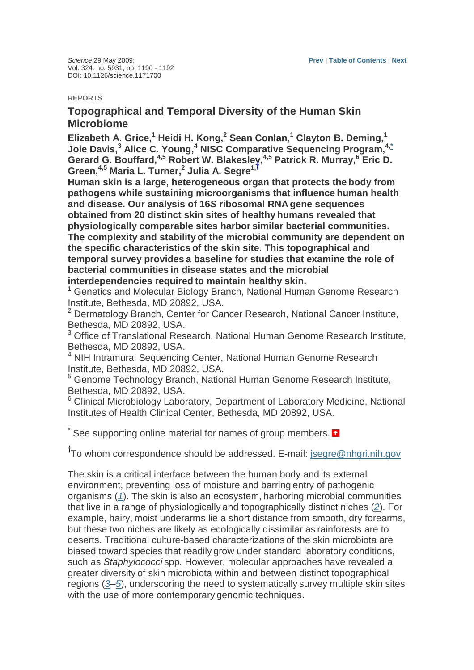## **REPORTS**

## **Topographical and Temporal Diversity of the Human Skin Microbiome**

**Elizabeth A. Grice,<sup>1</sup> Heidi H. Kong,<sup>2</sup> Sean Conlan,<sup>1</sup> Clayton B. Deming,<sup>1</sup> Joie Davis,<sup>3</sup> Alice C. Young,<sup>4</sup> NISC Comparative Sequencing Program,4,\* Gerard G. Bouffard,4,5 Robert W. Blakesley,4,5 Patrick R. Murray,<sup>6</sup> Eric D. Green,4,5 Maria L. Turner,<sup>2</sup> Julia A. Segre1,**

**Human skin is a large, heterogeneous organ that protects the body from pathogens while sustaining microorganisms that influence human health and disease. Our analysis of 16S ribosomal RNA gene sequences obtained from 20 distinct skin sites of healthy humans revealed that physiologically comparable sites harbor similar bacterial communities. The complexity and stability of the microbial community are dependent on the specific characteristics of the skin site. This topographical and temporal survey provides a baseline for studies that examine the role of bacterial communities in disease states and the microbial interdependencies required to maintain healthy skin.**

<sup>1</sup> Genetics and Molecular Biology Branch, National Human Genome Research Institute, Bethesda, MD 20892, USA.

<sup>2</sup> Dermatology Branch, Center for Cancer Research, National Cancer Institute, Bethesda, MD 20892, USA.

<sup>3</sup> Office of Translational Research, National Human Genome Research Institute, Bethesda, MD 20892, USA.

<sup>4</sup> NIH Intramural Sequencing Center, National Human Genome Research Institute, Bethesda, MD 20892, USA.

<sup>5</sup> Genome Technology Branch, National Human Genome Research Institute, Bethesda, MD 20892, USA.

<sup>6</sup> Clinical Microbiology Laboratory, Department of Laboratory Medicine, National Institutes of Health Clinical Center, Bethesda, MD 20892, USA.

\* See supporting online material for names of group members.  $\blacksquare$ 

<sup>1</sup>To whom correspondence should be addressed. E-mail: jsegre@nhgri.nih.gov

The skin is a critical interface between the human body and its external environment, preventing loss of moisture and barring entry of pathogenic organisms (1). The skin is also an ecosystem, harboring microbial communities that live in a range of physiologically and topographically distinct niches (2). For example, hairy, moist underarms lie a short distance from smooth, dry forearms, but these two niches are likely as ecologically dissimilar as rainforests are to deserts. Traditional culture-based characterizations of the skin microbiota are biased toward species that readily grow under standard laboratory conditions, such as Staphylococci spp. However, molecular approaches have revealed a greater diversity of skin microbiota within and between distinct topographical regions (3–5), underscoring the need to systematically survey multiple skin sites with the use of more contemporary genomic techniques.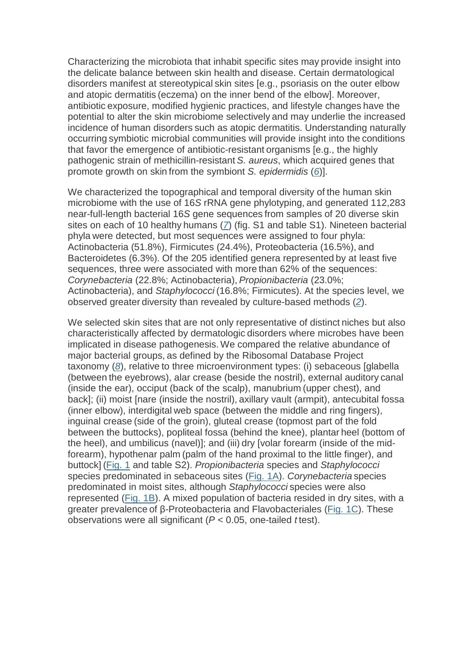Characterizing the microbiota that inhabit specific sites may provide insight into the delicate balance between skin health and disease. Certain dermatological disorders manifest at stereotypical skin sites [e.g., psoriasis on the outer elbow and atopic dermatitis (eczema) on the inner bend of the elbow]. Moreover, antibiotic exposure, modified hygienic practices, and lifestyle changes have the potential to alter the skin microbiome selectively and may underlie the increased incidence of human disorders such as atopic dermatitis. Understanding naturally occurring symbiotic microbial communities will provide insight into the conditions that favor the emergence of antibiotic-resistant organisms [e.g., the highly pathogenic strain of methicillin-resistant S. aureus, which acquired genes that promote growth on skin from the symbiont S. epidermidis (6).

We characterized the topographical and temporal diversity of the human skin microbiome with the use of 16S rRNA gene phylotyping, and generated 112,283 near-full-length bacterial 16S gene sequences from samples of 20 diverse skin sites on each of 10 healthy humans  $(7)$  (fig. S1 and table S1). Nineteen bacterial phyla were detected, but most sequences were assigned to four phyla: Actinobacteria (51.8%), Firmicutes (24.4%), Proteobacteria (16.5%), and Bacteroidetes (6.3%). Of the 205 identified genera represented by at least five sequences, three were associated with more than 62% of the sequences: Corynebacteria (22.8%; Actinobacteria), Propionibacteria (23.0%; Actinobacteria), and Staphylococci (16.8%; Firmicutes). At the species level, we observed greater diversity than revealed by culture-based methods (2).

We selected skin sites that are not only representative of distinct niches but also characteristically affected by dermatologic disorders where microbes have been implicated in disease pathogenesis. We compared the relative abundance of major bacterial groups, as defined by the Ribosomal Database Project taxonomy (8), relative to three microenvironment types: (i) sebaceous [glabella (between the eyebrows), alar crease (beside the nostril), external auditory canal (inside the ear), occiput (back of the scalp), manubrium (upper chest), and back]; (ii) moist [nare (inside the nostril), axillary vault (armpit), antecubital fossa (inner elbow), interdigital web space (between the middle and ring fingers), inguinal crease (side of the groin), gluteal crease (topmost part of the fold between the buttocks), popliteal fossa (behind the knee), plantar heel (bottom of the heel), and umbilicus (navel)]; and (iii) dry [volar forearm (inside of the midforearm), hypothenar palm (palm of the hand proximal to the little finger), and buttock] (Fig. 1 and table S2). Propionibacteria species and Staphylococci species predominated in sebaceous sites (Fig. 1A). Corynebacteria species predominated in moist sites, although Staphylococci species were also represented (Fig. 1B). A mixed population of bacteria resided in dry sites, with a greater prevalence of β-Proteobacteria and Flavobacteriales (Fig. 1C). These observations were all significant ( $P < 0.05$ , one-tailed ttest).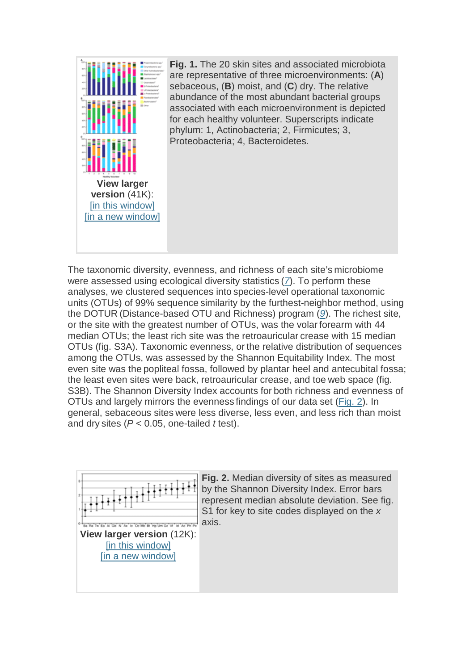

The taxonomic diversity, evenness, and richness of each site's microbiome were assessed using ecological diversity statistics (7). To perform these analyses, we clustered sequences into species-level operational taxonomic units (OTUs) of 99% sequence similarity by the furthest-neighbor method, using the DOTUR (Distance-based OTU and Richness) program (9). The richest site, or the site with the greatest number of OTUs, was the volar forearm with 44 median OTUs; the least rich site was the retroauricular crease with 15 median OTUs (fig. S3A). Taxonomic evenness, or the relative distribution of sequences among the OTUs, was assessed by the Shannon Equitability Index. The most even site was the popliteal fossa, followed by plantar heel and antecubital fossa; the least even sites were back, retroauricular crease, and toe web space (fig. S3B). The Shannon Diversity Index accounts for both richness and evenness of OTUs and largely mirrors the evenness findings of our data set (Fig. 2). In general, sebaceous sites were less diverse, less even, and less rich than moist and dry sites ( $P < 0.05$ , one-tailed *t* test).



**Fig. 2.** Median diversity of sites as measured by the Shannon Diversity Index. Error bars represent median absolute deviation. See fig. S1 for key to site codes displayed on the  $x$ axis.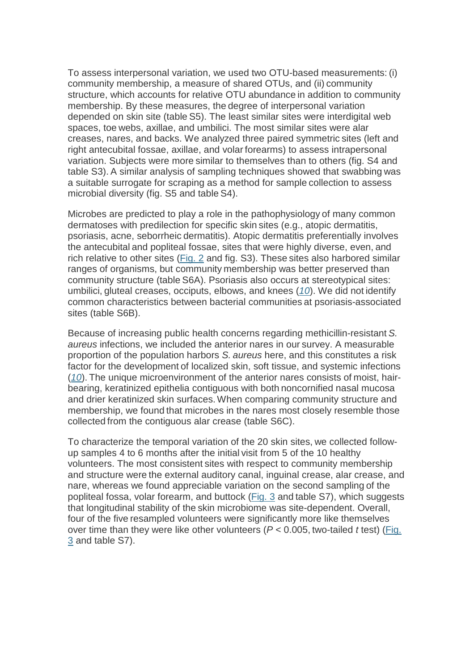To assess interpersonal variation, we used two OTU-based measurements: (i) community membership, a measure of shared OTUs, and (ii) community structure, which accounts for relative OTU abundance in addition to community membership. By these measures, the degree of interpersonal variation depended on skin site (table S5). The least similar sites were interdigital web spaces, toe webs, axillae, and umbilici. The most similar sites were alar creases, nares, and backs. We analyzed three paired symmetric sites (left and right antecubital fossae, axillae, and volar forearms) to assess intrapersonal variation. Subjects were more similar to themselves than to others (fig. S4 and table S3). A similar analysis of sampling techniques showed that swabbing was a suitable surrogate for scraping as a method for sample collection to assess microbial diversity (fig. S5 and table S4).

Microbes are predicted to play a role in the pathophysiology of many common dermatoses with predilection for specific skin sites (e.g., atopic dermatitis, psoriasis, acne, seborrheic dermatitis). Atopic dermatitis preferentially involves the antecubital and popliteal fossae, sites that were highly diverse, even, and rich relative to other sites (Fig. 2 and fig. S3). These sites also harbored similar ranges of organisms, but community membership was better preserved than community structure (table S6A). Psoriasis also occurs at stereotypical sites: umbilici, gluteal creases, occiputs, elbows, and knees  $(10)$ . We did not identify common characteristics between bacterial communities at psoriasis-associated sites (table S6B).

Because of increasing public health concerns regarding methicillin-resistant S. aureus infections, we included the anterior nares in our survey. A measurable proportion of the population harbors S. aureus here, and this constitutes a risk factor for the development of localized skin, soft tissue, and systemic infections  $(10)$ . The unique microenvironment of the anterior nares consists of moist, hairbearing, keratinized epithelia contiguous with both noncornified nasal mucosa and drier keratinized skin surfaces. When comparing community structure and membership, we found that microbes in the nares most closely resemble those collected from the contiguous alar crease (table S6C).

To characterize the temporal variation of the 20 skin sites, we collected followup samples 4 to 6 months after the initial visit from 5 of the 10 healthy volunteers. The most consistent sites with respect to community membership and structure were the external auditory canal, inguinal crease, alar crease, and nare, whereas we found appreciable variation on the second sampling of the popliteal fossa, volar forearm, and buttock (Fig. 3 and table S7), which suggests that longitudinal stability of the skin microbiome was site-dependent. Overall, four of the five resampled volunteers were significantly more like themselves over time than they were like other volunteers ( $P < 0.005$ , two-tailed *t* test) (Fig. 3 and table S7).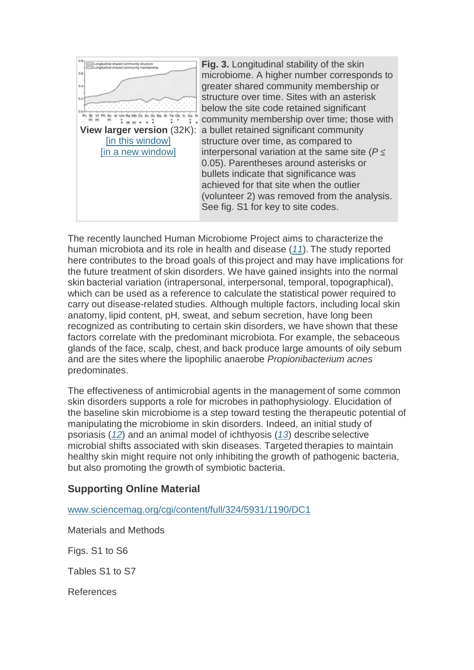

**Fig. 3.** Longitudinal stability of the skin microbiome. A higher number corresponds to greater shared community membership or structure over time. Sites with an asterisk below the site code retained significant community membership over time; those with a bullet retained significant community structure over time, as compared to interpersonal variation at the same site ( $P \leq$ 0.05). Parentheses around asterisks or bullets indicate that significance was achieved for that site when the outlier (volunteer 2) was removed from the analysis. See fig. S1 for key to site codes.

The recently launched Human Microbiome Project aims to characterize the human microbiota and its role in health and disease (11). The study reported here contributes to the broad goals of this project and may have implications for the future treatment of skin disorders. We have gained insights into the normal skin bacterial variation (intrapersonal, interpersonal, temporal, topographical), which can be used as a reference to calculate the statistical power required to carry out disease-related studies. Although multiple factors, including local skin anatomy, lipid content, pH, sweat, and sebum secretion, have long been recognized as contributing to certain skin disorders, we have shown that these factors correlate with the predominant microbiota. For example, the sebaceous glands of the face, scalp, chest, and back produce large amounts of oily sebum and are the sites where the lipophilic anaerobe Propionibacterium acnes predominates.

The effectiveness of antimicrobial agents in the management of some common skin disorders supports a role for microbes in pathophysiology. Elucidation of the baseline skin microbiome is a step toward testing the therapeutic potential of manipulating the microbiome in skin disorders. Indeed, an initial study of psoriasis (12) and an animal model of ichthyosis (13) describe selective microbial shifts associated with skin diseases. Targeted therapies to maintain healthy skin might require not only inhibiting the growth of pathogenic bacteria, but also promoting the growth of symbiotic bacteria.

## **Supporting Online Material**

www.sciencemag.org/cgi/content/full/324/5931/1190/DC1

Materials and Methods

Figs. S1 to S6

Tables S1 to S7

References